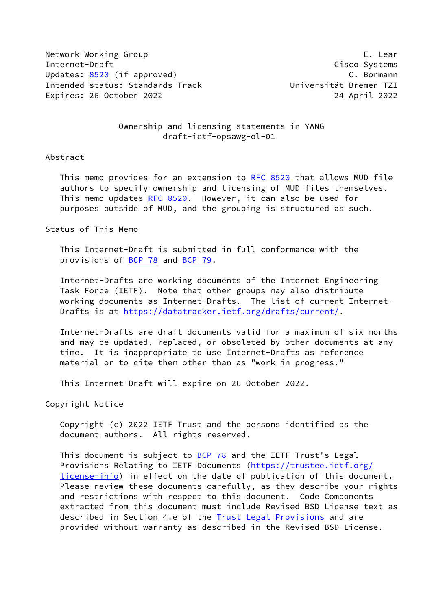Network Working Group **E. Lear** Internet-Draft Cisco Systems Updates: [8520](https://datatracker.ietf.org/doc/pdf/rfc8520) (if approved) example the control of the C. Bormann Intended status: Standards Track Universität Bremen TZI Expires: 26 October 2022 24 April 2022

 Ownership and licensing statements in YANG draft-ietf-opsawg-ol-01

## Abstract

 This memo provides for an extension to [RFC 8520](https://datatracker.ietf.org/doc/pdf/rfc8520) that allows MUD file authors to specify ownership and licensing of MUD files themselves. This memo updates [RFC 8520](https://datatracker.ietf.org/doc/pdf/rfc8520). However, it can also be used for purposes outside of MUD, and the grouping is structured as such.

Status of This Memo

 This Internet-Draft is submitted in full conformance with the provisions of [BCP 78](https://datatracker.ietf.org/doc/pdf/bcp78) and [BCP 79](https://datatracker.ietf.org/doc/pdf/bcp79).

 Internet-Drafts are working documents of the Internet Engineering Task Force (IETF). Note that other groups may also distribute working documents as Internet-Drafts. The list of current Internet- Drafts is at<https://datatracker.ietf.org/drafts/current/>.

 Internet-Drafts are draft documents valid for a maximum of six months and may be updated, replaced, or obsoleted by other documents at any time. It is inappropriate to use Internet-Drafts as reference material or to cite them other than as "work in progress."

This Internet-Draft will expire on 26 October 2022.

Copyright Notice

 Copyright (c) 2022 IETF Trust and the persons identified as the document authors. All rights reserved.

This document is subject to **[BCP 78](https://datatracker.ietf.org/doc/pdf/bcp78)** and the IETF Trust's Legal Provisions Relating to IETF Documents ([https://trustee.ietf.org/](https://trustee.ietf.org/license-info) [license-info](https://trustee.ietf.org/license-info)) in effect on the date of publication of this document. Please review these documents carefully, as they describe your rights and restrictions with respect to this document. Code Components extracted from this document must include Revised BSD License text as described in Section 4.e of the **Trust Legal Provisions** and are provided without warranty as described in the Revised BSD License.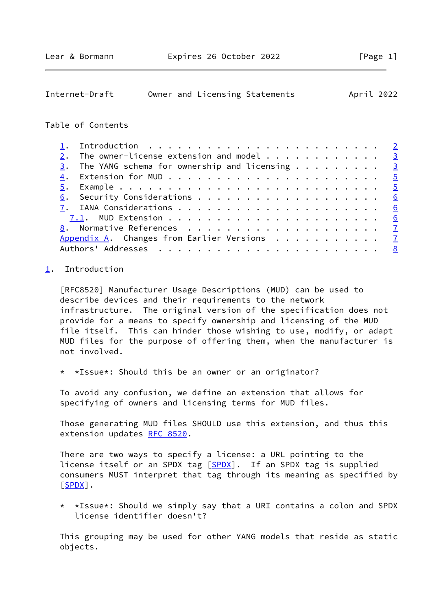<span id="page-1-1"></span>

| April 2022<br>Internet-Draft<br>Owner and Licensing Statements |  |  |
|----------------------------------------------------------------|--|--|
|----------------------------------------------------------------|--|--|

## Table of Contents

|  | The owner-license extension and model $\dots \dots \dots \dots$ |  |
|--|-----------------------------------------------------------------|--|
|  | $\frac{3}{2}$ . The YANG schema for ownership and licensing 3   |  |
|  |                                                                 |  |
|  |                                                                 |  |
|  |                                                                 |  |
|  |                                                                 |  |
|  |                                                                 |  |
|  |                                                                 |  |
|  | Appendix A. Changes from Earlier Versions $\frac{7}{2}$         |  |
|  |                                                                 |  |

## <span id="page-1-0"></span>[1](#page-1-0). Introduction

 [RFC8520] Manufacturer Usage Descriptions (MUD) can be used to describe devices and their requirements to the network infrastructure. The original version of the specification does not provide for a means to specify ownership and licensing of the MUD file itself. This can hinder those wishing to use, modify, or adapt MUD files for the purpose of offering them, when the manufacturer is not involved.

\* \*Issue\*: Should this be an owner or an originator?

 To avoid any confusion, we define an extension that allows for specifying of owners and licensing terms for MUD files.

 Those generating MUD files SHOULD use this extension, and thus this extension updates [RFC 8520](https://datatracker.ietf.org/doc/pdf/rfc8520).

 There are two ways to specify a license: a URL pointing to the license itself or an SPDX tag [[SPDX\]](#page-7-2). If an SPDX tag is supplied consumers MUST interpret that tag through its meaning as specified by  $[$  SPDX $]$  .

 \* \*Issue\*: Should we simply say that a URI contains a colon and SPDX license identifier doesn't?

 This grouping may be used for other YANG models that reside as static objects.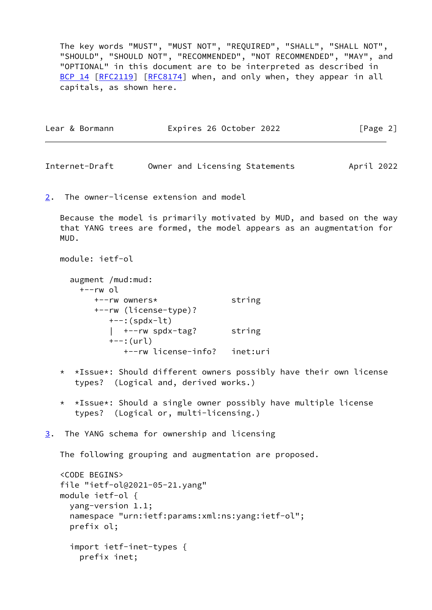The key words "MUST", "MUST NOT", "REQUIRED", "SHALL", "SHALL NOT", "SHOULD", "SHOULD NOT", "RECOMMENDED", "NOT RECOMMENDED", "MAY", and "OPTIONAL" in this document are to be interpreted as described in [BCP 14](https://datatracker.ietf.org/doc/pdf/bcp14) [\[RFC2119](https://datatracker.ietf.org/doc/pdf/rfc2119)] [\[RFC8174](https://datatracker.ietf.org/doc/pdf/rfc8174)] when, and only when, they appear in all capitals, as shown here.

| Expires 26 October 2022<br>Lear & Bormann | [Page 2] |
|-------------------------------------------|----------|
|-------------------------------------------|----------|

<span id="page-2-1"></span>Internet-Draft Owner and Licensing Statements April 2022

<span id="page-2-0"></span>[2](#page-2-0). The owner-license extension and model

 Because the model is primarily motivated by MUD, and based on the way that YANG trees are formed, the model appears as an augmentation for MUD.

```
 module: ietf-ol
```
- augment /mud:mud: +--rw ol +--rw owners\* string +--rw (license-type)?  $+--$ : (spdx-lt) | +--rw spdx-tag? string +--:(url) +--rw license-info? inet:uri
- \* \*Issue\*: Should different owners possibly have their own license types? (Logical and, derived works.)
- \* \*Issue\*: Should a single owner possibly have multiple license types? (Logical or, multi-licensing.)
- <span id="page-2-2"></span>[3](#page-2-2). The YANG schema for ownership and licensing

The following grouping and augmentation are proposed.

```
 <CODE BEGINS>
 file "ietf-ol@2021-05-21.yang"
 module ietf-ol {
   yang-version 1.1;
   namespace "urn:ietf:params:xml:ns:yang:ietf-ol";
   prefix ol;
   import ietf-inet-types {
     prefix inet;
```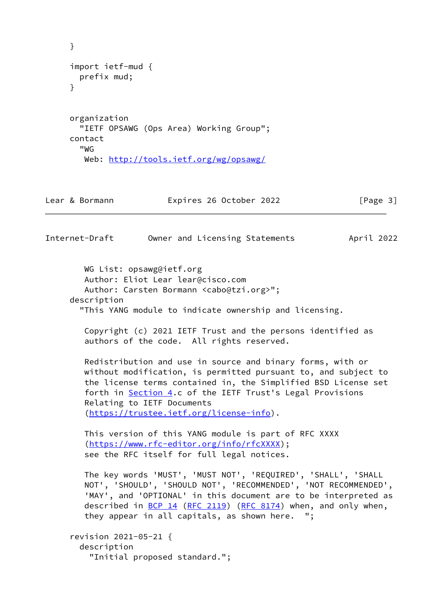```
 }
     import ietf-mud {
       prefix mud;
     }
     organization
       "IETF OPSAWG (Ops Area) Working Group";
     contact
       "WG
        Web: http://tools.ietf.org/wg/opsawg/
Lear & Bormann Expires 26 October 2022 [Page 3]
Internet-Draft Owner and Licensing Statements April 2022
```
 WG List: opsawg@ietf.org Author: Eliot Lear lear@cisco.com Author: Carsten Bormann <cabo@tzi.org>"; description "This YANG module to indicate ownership and licensing.

 Copyright (c) 2021 IETF Trust and the persons identified as authors of the code. All rights reserved.

 Redistribution and use in source and binary forms, with or without modification, is permitted pursuant to, and subject to the license terms contained in, the Simplified BSD License set forth in [Section 4.](#page-5-0)c of the IETF Trust's Legal Provisions Relating to IETF Documents [\(https://trustee.ietf.org/license-info\)](https://trustee.ietf.org/license-info).

 This version of this YANG module is part of RFC XXXX [\(https://www.rfc-editor.org/info/rfcXXXX](https://www.rfc-editor.org/info/rfcXXXX)); see the RFC itself for full legal notices.

 The key words 'MUST', 'MUST NOT', 'REQUIRED', 'SHALL', 'SHALL NOT', 'SHOULD', 'SHOULD NOT', 'RECOMMENDED', 'NOT RECOMMENDED', 'MAY', and 'OPTIONAL' in this document are to be interpreted as described in  $BCP$  14 [\(RFC 2119](https://datatracker.ietf.org/doc/pdf/rfc2119)) [\(RFC 8174](https://datatracker.ietf.org/doc/pdf/rfc8174)) when, and only when, they appear in all capitals, as shown here. ";

```
 revision 2021-05-21 {
   description
     "Initial proposed standard.";
```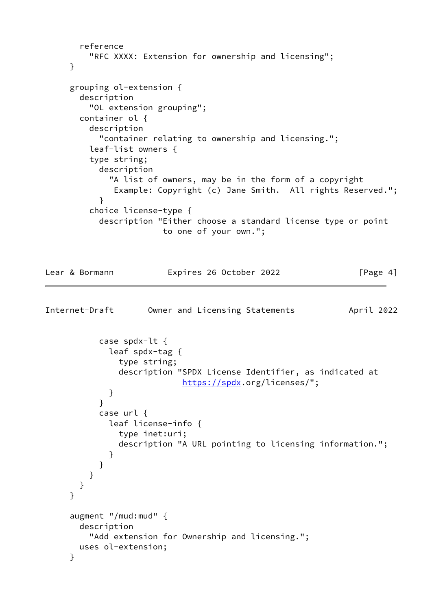```
 reference
          "RFC XXXX: Extension for ownership and licensing";
      }
      grouping ol-extension {
        description
          "OL extension grouping";
        container ol {
          description
            "container relating to ownership and licensing.";
          leaf-list owners {
          type string;
           description
              "A list of owners, may be in the form of a copyright
               Example: Copyright (c) Jane Smith. All rights Reserved.";
 }
          choice license-type {
            description "Either choose a standard license type or point
                         to one of your own.";
Lear & Bormann             Expires 26 October 2022               [Page 4]
Internet-Draft Owner and Licensing Statements April 2022
            case spdx-lt {
              leaf spdx-tag {
                type string;
                description "SPDX License Identifier, as indicated at
                            https://spdx.org/licenses/";
 }
 }
           case url {
             leaf license-info {
                type inet:uri;
                description "A URL pointing to licensing information.";
 }
           }
          }
        }
      }
      augment "/mud:mud" {
        description
          "Add extension for Ownership and licensing.";
        uses ol-extension;
      }
```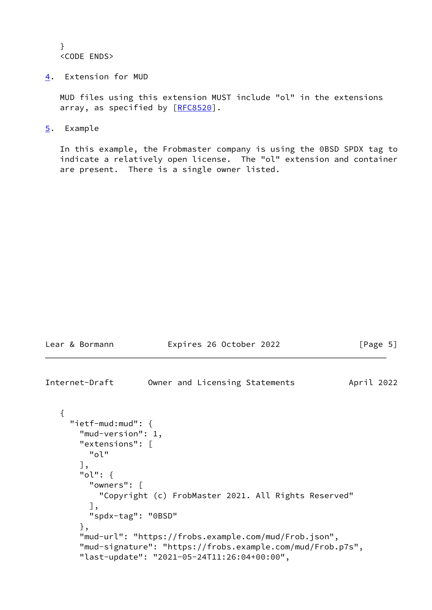} <CODE ENDS>

<span id="page-5-0"></span>[4](#page-5-0). Extension for MUD

 MUD files using this extension MUST include "ol" in the extensions array, as specified by [\[RFC8520](https://datatracker.ietf.org/doc/pdf/rfc8520)].

<span id="page-5-1"></span>[5](#page-5-1). Example

 In this example, the Frobmaster company is using the 0BSD SPDX tag to indicate a relatively open license. The "ol" extension and container are present. There is a single owner listed.

<span id="page-5-2"></span>

| Lear & Bormann                                                                                                                                    | Expires 26 October 2022                                                                                                                                                                                                    | [Page 5]   |
|---------------------------------------------------------------------------------------------------------------------------------------------------|----------------------------------------------------------------------------------------------------------------------------------------------------------------------------------------------------------------------------|------------|
| Internet-Draft                                                                                                                                    | Owner and Licensing Statements                                                                                                                                                                                             | April 2022 |
| " $i$ etf-mud:mud": {<br>"mud-version": 1,<br>"extensions": $\lceil$<br>"ol"<br>」,<br>"ol": $\{$<br>"owners": [<br>],<br>"spdx-tag": "0BSD"<br>}, | "Copyright (c) FrobMaster 2021. All Rights Reserved"<br>"mud-url": "https://frobs.example.com/mud/Frob.json",<br>"mud-signature": "https://frobs.example.com/mud/Frob.p7s",<br>"last-update": "2021-05-24T11:26:04+00:00", |            |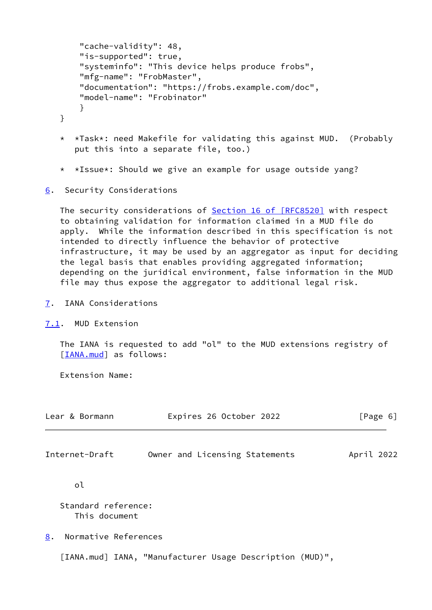```
 "cache-validity": 48,
     "is-supported": true,
     "systeminfo": "This device helps produce frobs",
     "mfg-name": "FrobMaster",
     "documentation": "https://frobs.example.com/doc",
     "model-name": "Frobinator"
     }
 }
```
- \* \*Task\*: need Makefile for validating this against MUD. (Probably put this into a separate file, too.)
- \* \*Issue\*: Should we give an example for usage outside yang?
- <span id="page-6-0"></span>[6](#page-6-0). Security Considerations

The security considerations of Section [16 of \[RFC8520\]](https://datatracker.ietf.org/doc/pdf/rfc8520#section-16) with respect to obtaining validation for information claimed in a MUD file do apply. While the information described in this specification is not intended to directly influence the behavior of protective infrastructure, it may be used by an aggregator as input for deciding the legal basis that enables providing aggregated information; depending on the juridical environment, false information in the MUD file may thus expose the aggregator to additional legal risk.

- <span id="page-6-1"></span>[7](#page-6-1). IANA Considerations
- <span id="page-6-2"></span>[7.1](#page-6-2). MUD Extension

 The IANA is requested to add "ol" to the MUD extensions registry of [\[IANA.mud](#page-6-5)] as follows:

Extension Name:

<span id="page-6-4"></span>

| Lear & Bormann                     | Expires 26 October 2022        | [Page 6]   |  |
|------------------------------------|--------------------------------|------------|--|
| Internet-Draft                     | Owner and Licensing Statements | April 2022 |  |
| οl                                 |                                |            |  |
| $\sim$ $\sim$ $\sim$ $\sim$ $\sim$ |                                |            |  |

 Standard reference: This document

<span id="page-6-3"></span>[8](#page-6-3). Normative References

<span id="page-6-5"></span>[IANA.mud] IANA, "Manufacturer Usage Description (MUD)",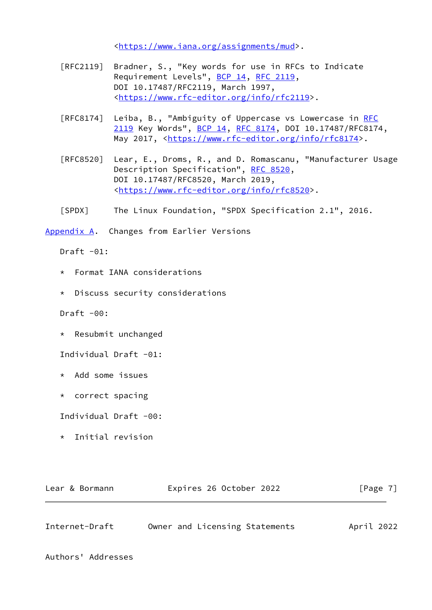<[https://www.iana.org/assignments/mud>](https://www.iana.org/assignments/mud).

- [RFC2119] Bradner, S., "Key words for use in RFCs to Indicate Requirement Levels", [BCP 14](https://datatracker.ietf.org/doc/pdf/bcp14), [RFC 2119](https://datatracker.ietf.org/doc/pdf/rfc2119), DOI 10.17487/RFC2119, March 1997, <[https://www.rfc-editor.org/info/rfc2119>](https://www.rfc-editor.org/info/rfc2119).
- [RFC8174] Leiba, B., "Ambiguity of Uppercase vs Lowercase in [RFC](https://datatracker.ietf.org/doc/pdf/rfc2119) [2119](https://datatracker.ietf.org/doc/pdf/rfc2119) Key Words", [BCP 14](https://datatracker.ietf.org/doc/pdf/bcp14), [RFC 8174,](https://datatracker.ietf.org/doc/pdf/rfc8174) DOI 10.17487/RFC8174, May 2017, [<https://www.rfc-editor.org/info/rfc8174](https://www.rfc-editor.org/info/rfc8174)>.
- [RFC8520] Lear, E., Droms, R., and D. Romascanu, "Manufacturer Usage Description Specification", [RFC 8520,](https://datatracker.ietf.org/doc/pdf/rfc8520) DOI 10.17487/RFC8520, March 2019, <[https://www.rfc-editor.org/info/rfc8520>](https://www.rfc-editor.org/info/rfc8520).
- <span id="page-7-2"></span>[SPDX] The Linux Foundation, "SPDX Specification 2.1", 2016.

<span id="page-7-0"></span>[Appendix A.](#page-7-0) Changes from Earlier Versions

Draft  $-01$ :

- \* Format IANA considerations
- \* Discuss security considerations

Draft  $-00$ :

\* Resubmit unchanged

Individual Draft -01:

- \* Add some issues
- \* correct spacing

Individual Draft -00:

\* Initial revision

| Expires 26 October 2022<br>Lear & Bormann | [Page 7] |
|-------------------------------------------|----------|
|-------------------------------------------|----------|

<span id="page-7-1"></span>

| Internet-Draft | Owner and Licensing Statements | April 2022 |
|----------------|--------------------------------|------------|
|----------------|--------------------------------|------------|